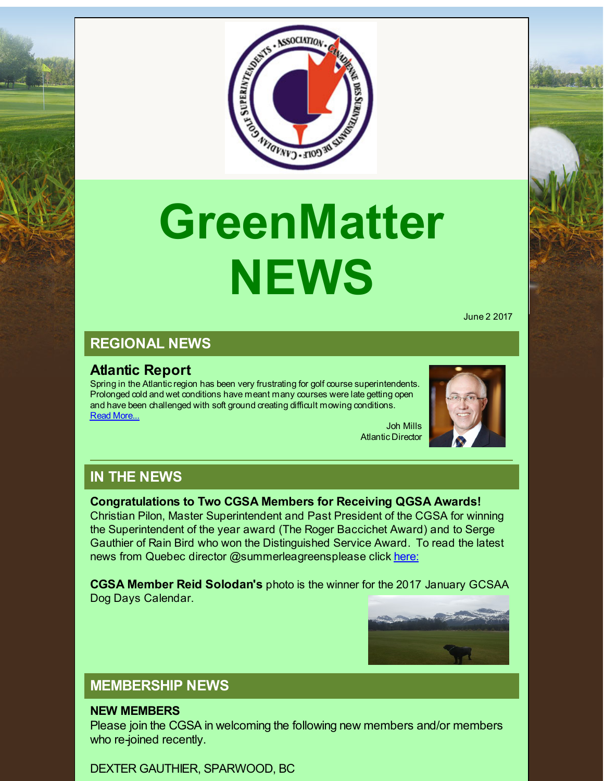

# **GreenMatter NEWS**

June 2 2017

# **REGIONAL NEWS**

# **Atlantic Report**

Spring in the Atlantic region has been very frustrating for golf course superintendents. Prolonged cold and wet conditions have meant many courses were late getting open and have been challenged with soft ground creating difficult mowing conditions. Read [More...](http://r20.rs6.net/tn.jsp?f=0013FahEYWNB-7GQz_kMwVUqiaQCLEen5y54rx7FG663Ku_EatKcNom4haN5b3MaGdXN8JhG7OqeZkoqAE30GaZ2w2I4xhXENsN_zs8Ji9BRkHD5SqrINoq2DWTbhrJCn91FOODcLMjFoUqEsX9yZam2zzLjuD1uxxwBoOka3op1eY-d9E9XdADHG68bAEJWjGvJw_phXFhYE8p-0qYLi_e0rFHebkvDdgu-uBndRxUl_-FM9LHan8GVHjjF3BJBlo3&c=&ch=) Joh Mills



Atlantic Director

**IN THE NEWS**

#### **Congratulations to Two CGSA Members for Receiving QGSA Awards!**

Christian Pilon, Master Superintendent and Past President of the CGSA for winning the Superintendent of the year award (The Roger Baccichet Award) and to Serge Gauthier of Rain Bird who won the Distinguished Service Award. To read the latest news from Quebec director @summerleagreensplease click [here:](http://r20.rs6.net/tn.jsp?f=0013FahEYWNB-7GQz_kMwVUqiaQCLEen5y54rx7FG663Ku_EatKcNom4mPL1bsCG0yZlugNAMq1iG-TL0blL45gujj023wDPq_NQQYT1Fyo-iqXDUBUg_lMKzj5NQnKCx9Lx3FzYUGraHumQItMpa5BUq7Q8l-rKWwViMzIQKa_3mTJkShceEhDiyS43ix6HqX3mDUHtKLQmwzawBsFmsTIOP3Xui-v96O22CXSRd1LPM5y4Vm_FaJUFg4W4wBddVx3&c=&ch=)

**CGSA Member Reid Solodan's** photo is the winner for the 2017 January GCSAA Dog Days Calendar.



# **MEMBERSHIP NEWS**

#### **NEW MEMBERS**

Please join the CGSA in welcoming the following new members and/or members who re-joined recently.

DEXTER GAUTHIER, SPARWOOD, BC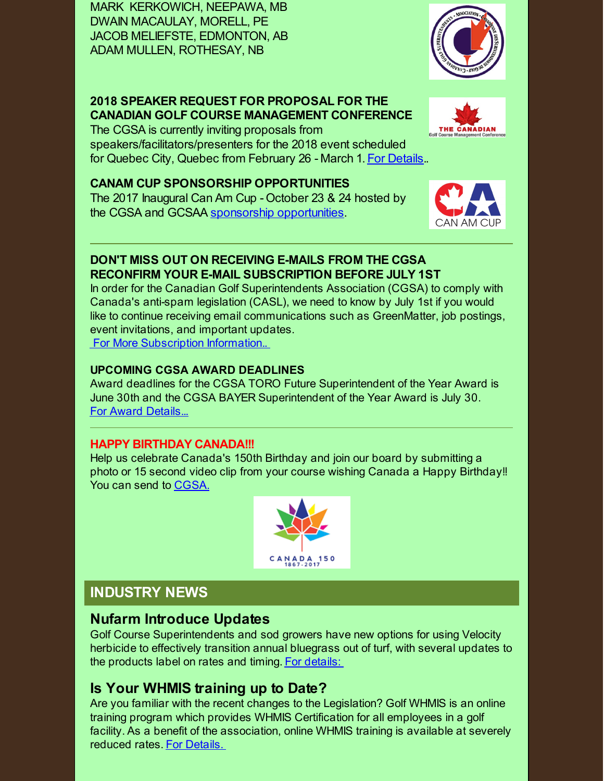MARK KERKOWICH, NEEPAWA, MB DWAIN MACAULAY, MORELL, PE JACOB MELIEFSTE, EDMONTON, AB ADAM MULLEN, ROTHESAY, NB

### **2018 SPEAKER REQUEST FOR PROPOSAL FOR THE CANADIAN GOLF COURSE MANAGEMENT CONFERENCE**

The CGSA is currently inviting proposals from speakers/facilitators/presenters for the 2018 event scheduled for Quebec City, Quebec from February 26 - March 1. For [Details](http://r20.rs6.net/tn.jsp?f=0013FahEYWNB-7GQz_kMwVUqiaQCLEen5y54rx7FG663Ku_EatKcNom4haN5b3MaGdXX797NtIOlGMlABs2yNpfgK8bWAvD6pM-zTQn_Z-OtcibvZWglqs5WPfJF3BqM9UdYXJ0gO9etQx_7bMheD1ZABBhzVQyk0LdaYdPXsBoO5h8AO4Sh0f_G2JxZWOZy8qMM-X3xi9woE0kv9e9WsJ5mG87kwqROzzJ5BP6oHWkP8pfOl2rG7p4nEwhtjW36iZA&c=&ch=)..

#### **CANAM CUP SPONSORSHIP OPPORTUNITIES**

The 2017 Inaugural Can Am Cup - October 23 & 24 hosted by the CGSA and GCSAA sponsorship [opportunities](http://r20.rs6.net/tn.jsp?f=0013FahEYWNB-7GQz_kMwVUqiaQCLEen5y54rx7FG663Ku_EatKcNom4haN5b3MaGdXfZr_tasqMBgXTMeVceresse7CmATyGnpf7P0dieyP3ZD3Gyti1jP4pG2ZzUbZjx_nytQXx7Ze1O-50SCMTh1pPu67d4xnQrHdwH_64H34WlieNvGHsOJogKsj-1eyXAI8ynmvd1UZxmxqnFhOkU-OuvEcTr2uER0JMGhBkdls72aZn6llT6xZxkBOPm4AoDk&c=&ch=).

#### **DON'T MISS OUT ON RECEIVING E-MAILS FROM THE CGSA RECONFIRM YOUR E-MAIL SUBSCRIPTION BEFORE JULY 1ST**

In order for the Canadian Golf Superintendents Association (CGSA) to comply with Canada's anti-spam legislation (CASL), we need to know by July 1st if you would like to continue receiving email communications such as GreenMatter, job postings, event invitations, and important updates. For More [Subscription](http://r20.rs6.net/tn.jsp?f=0013FahEYWNB-7GQz_kMwVUqiaQCLEen5y54rx7FG663Ku_EatKcNom4haN5b3MaGdXLXZrfmE0haUPuEQusIUoqCkB25qbsKD8ykUtcrWcqzdAYvlv01UKMx83dL7g4kMHs21MQG-gVWJOaHFNdMt-64sNrUwk2KaGhn_AuIFqtU9jAyOt_Q_h3pCvY6CA86QGMkQNL4DDHLUKLprHSOAambnn1_uQ8YByayrq4htyDLjDFq5tZykSfLBpB6sP8EJB&c=&ch=) Information..

#### **UPCOMING CGSA AWARD DEADLINES**

Award deadlines for the CGSA TORO Future Superintendent of the Year Award is June 30th and the CGSA BAYER Superintendent of the Year Award is July 30. For Award [Details...](http://r20.rs6.net/tn.jsp?f=0013FahEYWNB-7GQz_kMwVUqiaQCLEen5y54rx7FG663Ku_EatKcNom4haN5b3MaGdXrdOiQaahRG0BCqlolq3OIGOwcgq_OBiZCZ7m0uTdBC-JanKZg23sAeOaa7JHn5l1WamBiDlgXQr8myQVH4da3oL0K1akYeTJ-XC0oPc6Z9ziCKaG3sTFBGcyZPuv7OLNoTzWudOnRrYRqvDezc1wQ-KTyd9-kk0MhOwlEuCk2yNvhYEAbQKxyW1OdT6hOKVi&c=&ch=)

#### **HAPPY BIRTHDAY CANADA!!!**

Help us celebrate Canada's 150th Birthday and join our board by submitting a photo or 15 second video clip from your course wishing Canada a Happy Birthday!! You can send to [CGSA.](mailto:cgsa@golfsupers.com)

# **INDUSTRY NEWS**

## **Nufarm Introduce Updates**

Golf Course Superintendents and sod growers have new options for using Velocity herbicide to effectively transition annual bluegrass out of turf, with several updates to the products label on rates and timing. For [details:](http://r20.rs6.net/tn.jsp?f=0013FahEYWNB-7GQz_kMwVUqiaQCLEen5y54rx7FG663Ku_EatKcNom4haN5b3MaGdXe9peiGPqz3ZD5dce3XrWJ5_m59yaT_kNHC0P11nqbDUeCAva2_nOJ50jS8DAeVFCrRRw53ZL6Y-Mi2ScXSTMuG9BjWfmujAqfNjtXUj2aBt3f_Y5Hg3Uk4TRj420GxXrYwO46xcnHzKeMCjf0jGzPlYoyPG9-dnHzDGi23z-jNZrfpMGi9DsGi1cMGwAqaQ2&c=&ch=)

# **Is Your WHMIS training up to Date?**

Are you familiar with the recent changes to the Legislation? Golf WHMIS is an online training program which provides WHMIS Certification for all employees in a golf facility. As a benefit of the association, online WHMIS training is available at severely reduced rates. For [Details.](http://r20.rs6.net/tn.jsp?f=0013FahEYWNB-7GQz_kMwVUqiaQCLEen5y54rx7FG663Ku_EatKcNom4haN5b3MaGdXVMSBoNWiMJP1uUrFODweaL_u69mtLlDqm_SBgbFCjFHCoXpBLQmj2XOldir20n4rcPyk8tD4RzKkuIULrqUPAlPffuXQJpo2XF3USThOKBZFI7fSrXZzA7ulUWxwZEswIsLaXkL5rwSRJVl1tajyx4bm30f5jKrAxHkBIezEGgCMdziowIkCZb7pC8nnbGD2&c=&ch=)